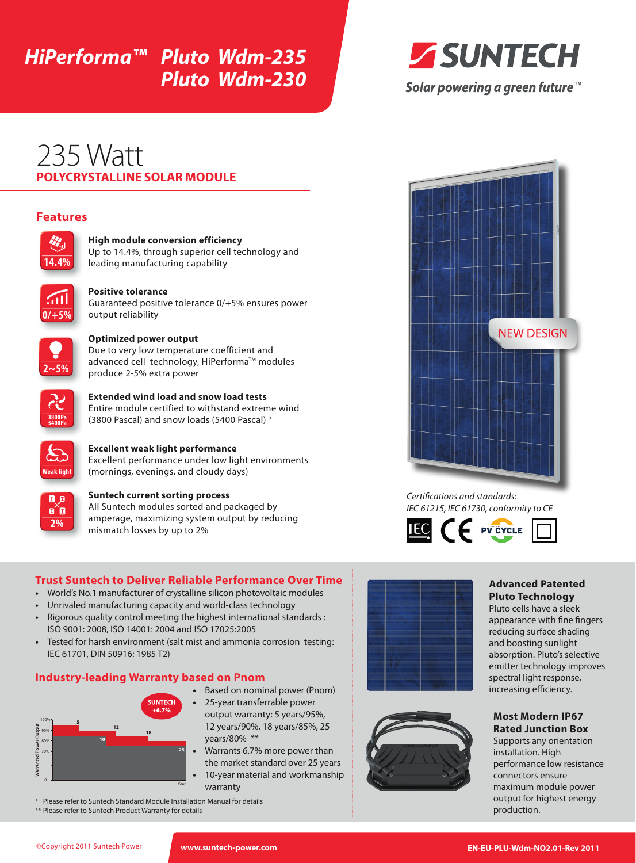# *HiPerforma™ Pluto Wdm-235 Pluto Wdm-230*



Solar powering a green future™

## **POLYCRYSTALLINE SOLAR MODULE** 235 Watt

## **Features**



#### **High module conversion efficiency**

Up to 14.4%, through superior cell technology and leading manufacturing capability



#### **Positive tolerance**

Guaranteed positive tolerance 0/+5% ensures power output reliability



#### **Optimized power output**

Due to very low temperature coefficient and advanced cell technology, HiPerforma™ modules produce 2-5% extra power



**Extended wind load and snow load tests** Entire module certified to withstand extreme wind (3800 Pascal) and snow loads (5400 Pascal) \*



**Excellent weak light performance** Excellent performance under low light environments (mornings, evenings, and cloudy days)



#### **Suntech current sorting process**

All Suntech modules sorted and packaged by amperage, maximizing system output by reducing mismatch losses by up to 2%

### **Trust Suntech to Deliver Reliable Performance Over Time**

- **•**  World's No.1 manufacturer of crystalline silicon photovoltaic modules
- Unrivaled manufacturing capacity and world-class technology
- **•**  Rigorous quality control meeting the highest international standards : ISO 9001: 2008, ISO 14001: 2004 and ISO 17025:2005
- Tested for harsh environment (salt mist and ammonia corrosion testing: IEC 61701, DIN 50916: 1985 T2)

### **Industry-leading Warranty based on Pnom**



- **•**  Based on nominal power (Pnom)
- 25-year transferrable power output warranty: 5 years/95%, 12 years/90%, 18 years/85%, 25 years/80% \*\*
- Warrants 6.7% more power than the market standard over 25 years 10-year material and workmanship warranty
- \* Please refer to Suntech Standard Module Installation Manual for details
- \*\* Please refer to Suntech Product Warranty for details



*Certifications and standards: IEC 61215, IEC 61730, conformity to CE*



## **Advanced Patented Pluto Technology**

Pluto cells have a sleek appearance with fine fingers reducing surface shading and boosting sunlight absorption. Pluto's selective emitter technology improves spectral light response, increasing efficiency.

#### **Most Modern IP67 Rated Junction Box**

Supports any orientation installation. High performance low resistance connectors ensure maximum module power output for highest energy production.